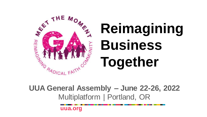

**UUA General Assembly – June 22-26, 2022** Multiplatform | Portland, OR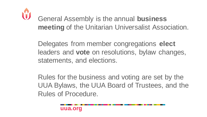

General Assembly is the annual **business meeting** of the Unitarian Universalist Association.

Delegates from member congregations **elect** leaders and **vote** on resolutions, bylaw changes, statements, and elections.

Rules for the business and voting are set by the UUA Bylaws, the UUA Board of Trustees, and the Rules of Procedure.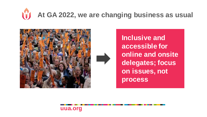## **At GA 2022, we are changing business as usual**



**Inclusive and accessible for online and onsite delegates; focus on issues, not process**

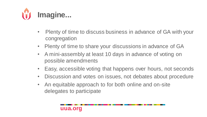

- Plenty of time to discuss business in advance of GA with your congregation
- Plenty of time to share your discussions in advance of GA
- A mini-assembly at least 10 days in advance of voting on possible amendments
- Easy, accessible voting that happens over hours, not seconds
- Discussion and votes on issues, not debates about procedure
- An equitable approach to for both online and on-site delegates to participate

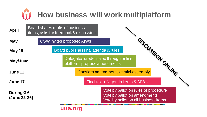### **How business will work multiplatform** 19

| <b>April</b>                     | Board shares drafts of business<br>items, asks for feedback & discussion                                     |  |  |  |
|----------------------------------|--------------------------------------------------------------------------------------------------------------|--|--|--|
| May                              | <b>CSW</b> invites proposed AIWs                                                                             |  |  |  |
| <b>May 25</b>                    | Board publishes final agenda & rules                                                                         |  |  |  |
| May/June                         | DISCUSSION ONLINE<br>Delegates credentialed through online<br>platform, propose amendments                   |  |  |  |
| June 11                          | Consider amendments at mini-assembly                                                                         |  |  |  |
| June 17                          | Final text of agenda items & AIWs                                                                            |  |  |  |
| <b>During GA</b><br>(June 22-26) | Vote by ballot on rules of procedure<br>Vote by ballot on amendments<br>Vote by ballot on all business items |  |  |  |
|                                  | uua.org                                                                                                      |  |  |  |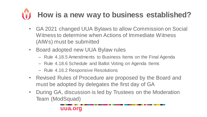## **How is a new way to business established?**

- GA 2021 changed UUA Bylaws to allow Commission on Social Witness to determine when Actions of Immediate Witness (AIWs) must be submitted
- Board adopted new UUA Bylaw rules
	- Rule 4.18.5 Amendments to Business Items on the Final Agenda
	- Rule 4.18.6 Schedule and Ballot Voting on Agenda Items
	- Rule 4.16.2 Responsive Resolutions
- Revised Rules of Procedure are proposed by the Board and must be adopted by delegates the first day of GA
- During GA, discussion is led by Trustees on the Moderation Team (ModSquad)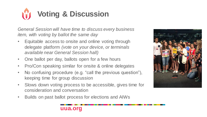### **Voting & Discussion**

*General Session will have time to discuss every business item, with voting by ballot the same day*

- Equitable access to onsite and online voting through delegate platform *(vote on your device, or terminals available near General Session hall)*
- One ballot per day, ballots open for a few hours
- Pro/Con speaking similar for onsite & online delegates
- No confusing procedure (e.g. "call the previous question"), keeping time for group discussion
- Slows down voting process to be accessible, gives time for consideration and conversation
- Builds on past ballot process for elections and AIWs



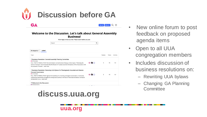

GA

Sign Up | Llog In | Q | =

| Welcome to the Discussion. Let's talk about General Assembly |  |  |  |  |  |  |  |
|--------------------------------------------------------------|--|--|--|--|--|--|--|
| <b>Business!</b>                                             |  |  |  |  |  |  |  |

| We're happy to have you here. Please search before you post.                                                                                                                                                                                |  |   |                |       |          |
|---------------------------------------------------------------------------------------------------------------------------------------------------------------------------------------------------------------------------------------------|--|---|----------------|-------|----------|
| Search                                                                                                                                                                                                                                      |  | Q |                |       |          |
| Latest<br>all categories $\rightarrow$                                                                                                                                                                                                      |  |   |                |       |          |
| Topic                                                                                                                                                                                                                                       |  |   | Replies        | Views | Activity |
| # Business Resolution: General Assembly Planning Committee<br>GA Business                                                                                                                                                                   |  |   |                |       |          |
| FULL TEXT OF RESOLUTION: The Commission on Institutional Change, in their report, "Widening the<br>Circle of Concern," recommended that the Board of Trustees examine the bylaws of the Association with<br>the purpose of stream read more |  |   | $\overline{2}$ | 46    | 6d       |
| * Business Resolution: Renewing UUA Bylaws for Theologically Grounded and Mission-                                                                                                                                                          |  |   |                |       |          |
| <b>Focused Governance</b><br><b>GA Business</b>                                                                                                                                                                                             |  |   |                |       |          |
| FULL TEXT OF RESOLUTION: Against the backdrop of a looming ecological catastrophe a multiracial,<br>multicultural democracy struggles to emerge and survive, in the face of ferocious resistance. Unitarian<br>Universalism is ca read more |  |   | $\overline{2}$ | 43    | 6d       |
| # Welcome to the Discussion                                                                                                                                                                                                                 |  |   |                |       |          |
| Announcements                                                                                                                                                                                                                               |  |   |                |       |          |

**discuss.uua.org**

- New online forum to post feedback on proposed agenda items
- Open to all UUA congregation members
- Includes discussion of business resolutions on:
	- Rewriting UUA bylaws
	- Changing GA Planning **Committee**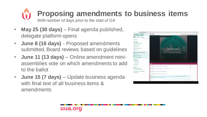### **Proposing amendments to business items** With number of days prior to the start of GA

- **May 25 (30 days)**  Final agenda published, delegate platform opens
- **June 8 (16 days)**  Proposed amendments submitted, Board reviews based on guidelines
- **June 11 (13 days)**  Online amendment miniassemblies vote on which amendments to add to the ballot
- **June 15 (7 days)**  Update business agenda with final text of all business items & amendments

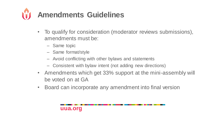

- To qualify for consideration (moderator reviews submissions), amendments must be:
	- Same topic
	- Same format/style
	- Avoid conflicting with other bylaws and statements
	- Consistent with bylaw intent (not adding new directions)
- Amendments which get 33% support at the mini-assembly will be voted on at GA
- Board can incorporate any amendment into final version

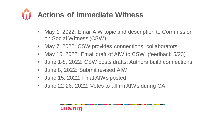## **Actions of Immediate Witness**

- May 1, 2022: Email AIW topic and description to Commission on Social Witness (CSW)
- May 7, 2022: CSW provides connections, collaborators
- May 15, 2022: Email draft of AIW to CSW; (feedback 5/23)
- June 1-8, 2022: CSW posts drafts; Authors build connections
- June 8, 2022: Submit revised AIW
- June 15, 2022: Final AIWs posted
- June 22-26, 2022: Votes to affirm AIWs during GA

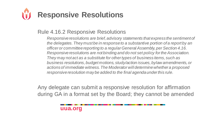# **Responsive Resolutions**

#### Rule 4.16.2 Responsive Resolutions

*Responsive resolutions are brief, advisory statements that express the sentiment of the delegates. They must be in response to a substantive portion of a report by an officer or committee reporting to a regular General Assembly, per Section 4.16. Responsive resolutions are not binding and do not set policy for the Association. They may not act as a substitute for other types of business items, such as business resolutions, budget motions, study/action issues, bylaw amendments, or actions of immediate witness. The Moderator will determine whether a proposed responsive resolution may be added to the final agenda under this rule.*

Any delegate can submit a responsive resolution for affirmation during GA in a format set by the Board; they cannot be amended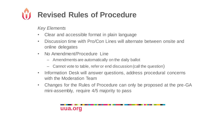# **Revised Rules of Procedure**

*Key Elements*

- Clear and accessible format in plain language
- Discussion time with Pro/Con Lines will alternate between onsite and online delegates
- No Amendment/Procedure Line
	- Amendments are automatically on the daily ballot
	- Cannot vote to table, refer or end discussion (call the question)
- Information Desk will answer questions, address procedural concerns with the Moderation Team
- Changes for the Rules of Procedure can only be proposed at the pre-GA mini-assembly, require 4/5 majority to pass